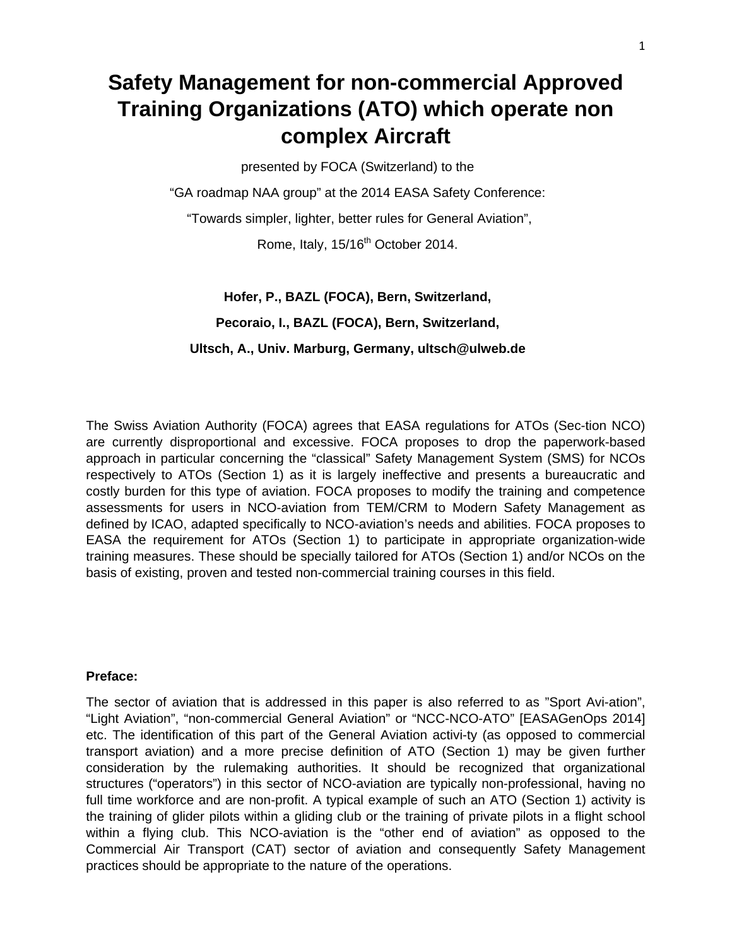# **Safety Management for non-commercial Approved Training Organizations (ATO) which operate non complex Aircraft**

presented by FOCA (Switzerland) to the

"GA roadmap NAA group" at the 2014 EASA Safety Conference:

"Towards simpler, lighter, better rules for General Aviation",

Rome, Italy, 15/16<sup>th</sup> October 2014.

**Hofer, P., BAZL (FOCA), Bern, Switzerland, Pecoraio, I., BAZL (FOCA), Bern, Switzerland, Ultsch, A., Univ. Marburg, Germany, ultsch@ulweb.de** 

The Swiss Aviation Authority (FOCA) agrees that EASA regulations for ATOs (Sec-tion NCO) are currently disproportional and excessive. FOCA proposes to drop the paperwork-based approach in particular concerning the "classical" Safety Management System (SMS) for NCOs respectively to ATOs (Section 1) as it is largely ineffective and presents a bureaucratic and costly burden for this type of aviation. FOCA proposes to modify the training and competence assessments for users in NCO-aviation from TEM/CRM to Modern Safety Management as defined by ICAO, adapted specifically to NCO-aviation's needs and abilities. FOCA proposes to EASA the requirement for ATOs (Section 1) to participate in appropriate organization-wide training measures. These should be specially tailored for ATOs (Section 1) and/or NCOs on the basis of existing, proven and tested non-commercial training courses in this field.

#### **Preface:**

The sector of aviation that is addressed in this paper is also referred to as "Sport Avi-ation", "Light Aviation", "non-commercial General Aviation" or "NCC-NCO-ATO" [EASAGenOps 2014] etc. The identification of this part of the General Aviation activi-ty (as opposed to commercial transport aviation) and a more precise definition of ATO (Section 1) may be given further consideration by the rulemaking authorities. It should be recognized that organizational structures ("operators") in this sector of NCO-aviation are typically non-professional, having no full time workforce and are non-profit. A typical example of such an ATO (Section 1) activity is the training of glider pilots within a gliding club or the training of private pilots in a flight school within a flying club. This NCO-aviation is the "other end of aviation" as opposed to the Commercial Air Transport (CAT) sector of aviation and consequently Safety Management practices should be appropriate to the nature of the operations.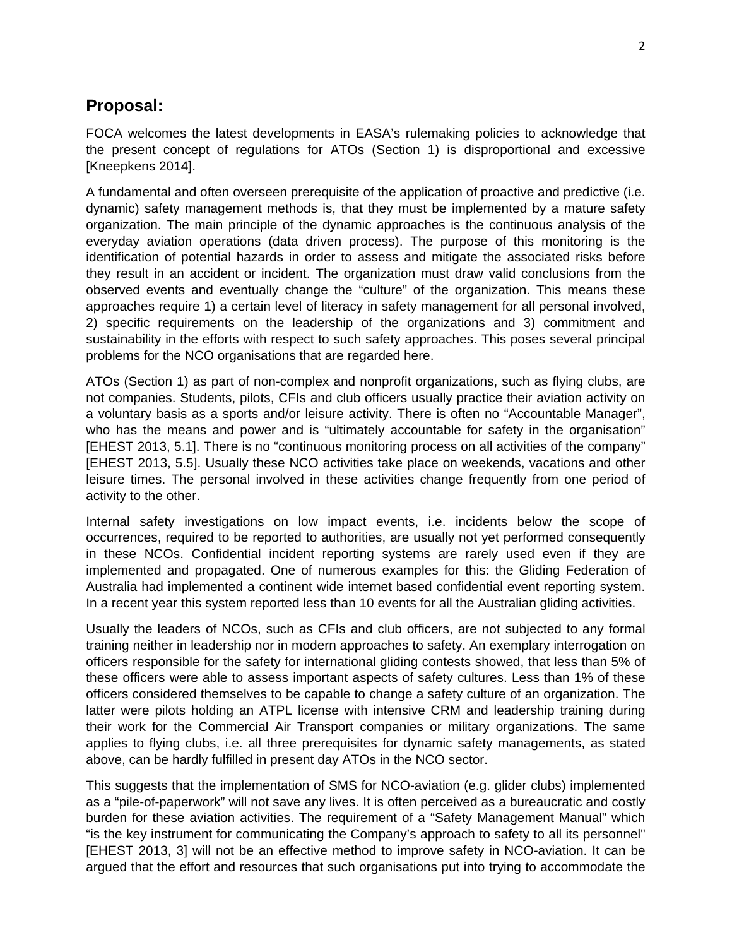## **Proposal:**

FOCA welcomes the latest developments in EASA's rulemaking policies to acknowledge that the present concept of regulations for ATOs (Section 1) is disproportional and excessive [Kneepkens 2014].

A fundamental and often overseen prerequisite of the application of proactive and predictive (i.e. dynamic) safety management methods is, that they must be implemented by a mature safety organization. The main principle of the dynamic approaches is the continuous analysis of the everyday aviation operations (data driven process). The purpose of this monitoring is the identification of potential hazards in order to assess and mitigate the associated risks before they result in an accident or incident. The organization must draw valid conclusions from the observed events and eventually change the "culture" of the organization. This means these approaches require 1) a certain level of literacy in safety management for all personal involved, 2) specific requirements on the leadership of the organizations and 3) commitment and sustainability in the efforts with respect to such safety approaches. This poses several principal problems for the NCO organisations that are regarded here.

ATOs (Section 1) as part of non-complex and nonprofit organizations, such as flying clubs, are not companies. Students, pilots, CFIs and club officers usually practice their aviation activity on a voluntary basis as a sports and/or leisure activity. There is often no "Accountable Manager", who has the means and power and is "ultimately accountable for safety in the organisation" [EHEST 2013, 5.1]. There is no "continuous monitoring process on all activities of the company" [EHEST 2013, 5.5]. Usually these NCO activities take place on weekends, vacations and other leisure times. The personal involved in these activities change frequently from one period of activity to the other.

Internal safety investigations on low impact events, i.e. incidents below the scope of occurrences, required to be reported to authorities, are usually not yet performed consequently in these NCOs. Confidential incident reporting systems are rarely used even if they are implemented and propagated. One of numerous examples for this: the Gliding Federation of Australia had implemented a continent wide internet based confidential event reporting system. In a recent year this system reported less than 10 events for all the Australian gliding activities.

Usually the leaders of NCOs, such as CFIs and club officers, are not subjected to any formal training neither in leadership nor in modern approaches to safety. An exemplary interrogation on officers responsible for the safety for international gliding contests showed, that less than 5% of these officers were able to assess important aspects of safety cultures. Less than 1% of these officers considered themselves to be capable to change a safety culture of an organization. The latter were pilots holding an ATPL license with intensive CRM and leadership training during their work for the Commercial Air Transport companies or military organizations. The same applies to flying clubs, i.e. all three prerequisites for dynamic safety managements, as stated above, can be hardly fulfilled in present day ATOs in the NCO sector.

This suggests that the implementation of SMS for NCO-aviation (e.g. glider clubs) implemented as a "pile-of-paperwork" will not save any lives. It is often perceived as a bureaucratic and costly burden for these aviation activities. The requirement of a "Safety Management Manual" which "is the key instrument for communicating the Company's approach to safety to all its personnel" [EHEST 2013, 3] will not be an effective method to improve safety in NCO-aviation. It can be argued that the effort and resources that such organisations put into trying to accommodate the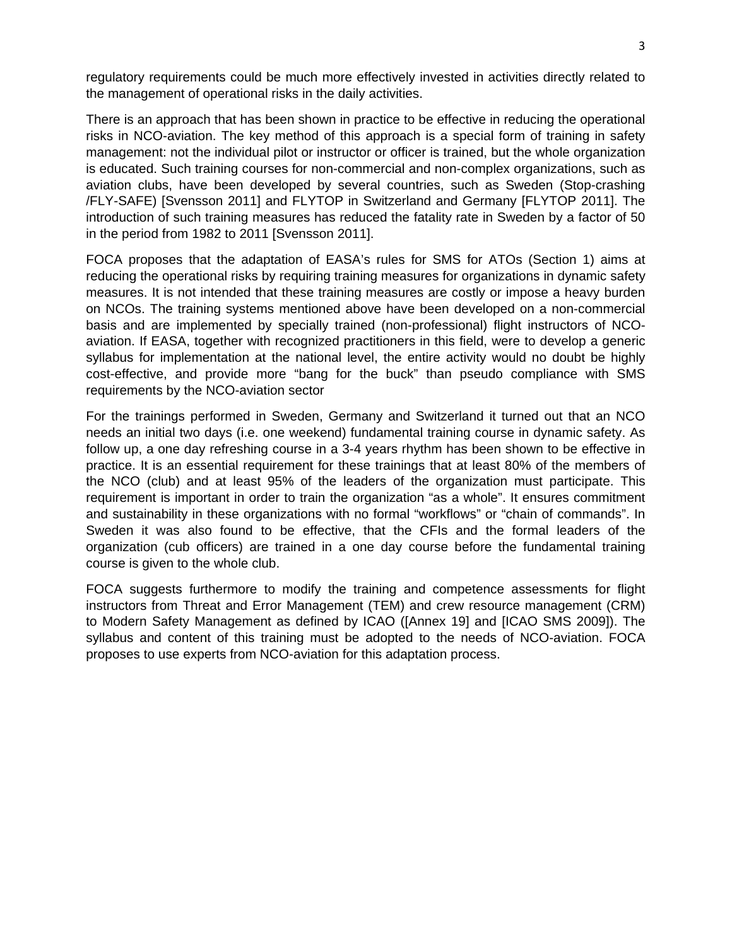regulatory requirements could be much more effectively invested in activities directly related to the management of operational risks in the daily activities.

There is an approach that has been shown in practice to be effective in reducing the operational risks in NCO-aviation. The key method of this approach is a special form of training in safety management: not the individual pilot or instructor or officer is trained, but the whole organization is educated. Such training courses for non-commercial and non-complex organizations, such as aviation clubs, have been developed by several countries, such as Sweden (Stop-crashing /FLY-SAFE) [Svensson 2011] and FLYTOP in Switzerland and Germany [FLYTOP 2011]. The introduction of such training measures has reduced the fatality rate in Sweden by a factor of 50 in the period from 1982 to 2011 [Svensson 2011].

FOCA proposes that the adaptation of EASA's rules for SMS for ATOs (Section 1) aims at reducing the operational risks by requiring training measures for organizations in dynamic safety measures. It is not intended that these training measures are costly or impose a heavy burden on NCOs. The training systems mentioned above have been developed on a non-commercial basis and are implemented by specially trained (non-professional) flight instructors of NCOaviation. If EASA, together with recognized practitioners in this field, were to develop a generic syllabus for implementation at the national level, the entire activity would no doubt be highly cost-effective, and provide more "bang for the buck" than pseudo compliance with SMS requirements by the NCO-aviation sector

For the trainings performed in Sweden, Germany and Switzerland it turned out that an NCO needs an initial two days (i.e. one weekend) fundamental training course in dynamic safety. As follow up, a one day refreshing course in a 3-4 years rhythm has been shown to be effective in practice. It is an essential requirement for these trainings that at least 80% of the members of the NCO (club) and at least 95% of the leaders of the organization must participate. This requirement is important in order to train the organization "as a whole". It ensures commitment and sustainability in these organizations with no formal "workflows" or "chain of commands". In Sweden it was also found to be effective, that the CFIs and the formal leaders of the organization (cub officers) are trained in a one day course before the fundamental training course is given to the whole club.

FOCA suggests furthermore to modify the training and competence assessments for flight instructors from Threat and Error Management (TEM) and crew resource management (CRM) to Modern Safety Management as defined by ICAO ([Annex 19] and [ICAO SMS 2009]). The syllabus and content of this training must be adopted to the needs of NCO-aviation. FOCA proposes to use experts from NCO-aviation for this adaptation process.